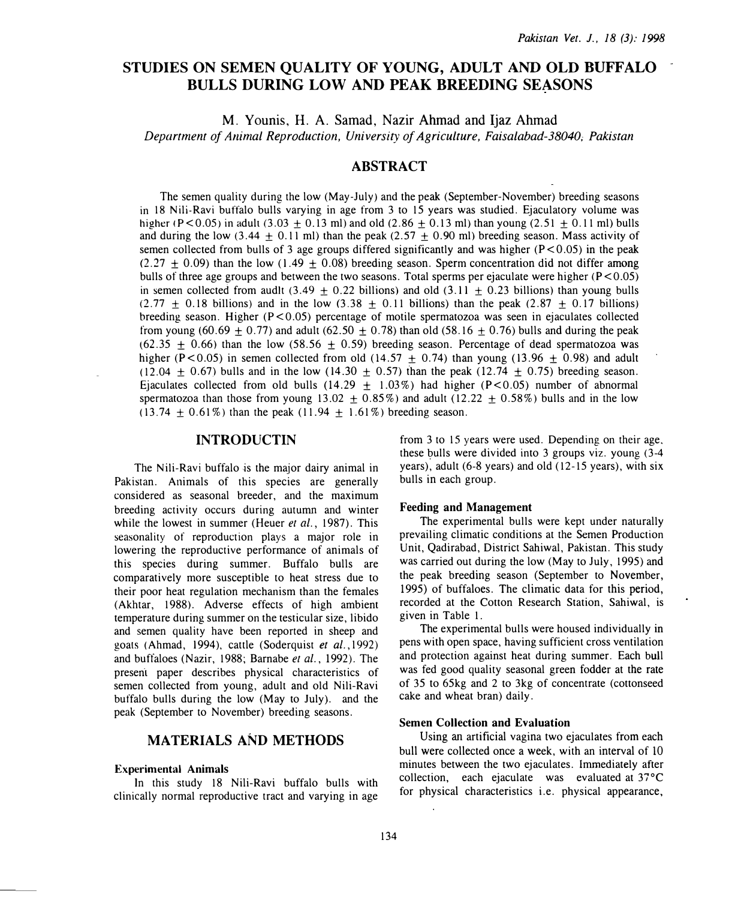# STUDIES ON SEMEN QUALITY OF YOUNG, ADULT AND OLD BUFFALO BULLS DURING LOW AND PEAK BREEDING SEASONS

M. Younis, H. A. Samad, Nazir Ahmad and Ijaz Ahmad

Department of Animal Reproduction, University of Agriculture, Faisalabad-38040; Pakistan

# ABSTRACT

The semen quality during the low (May-July) and the peak (September-November) breeding seasons in 18 Nili-Ravi buffalo bulls varying in age from 3 to 15 years was studied. Ejaculatory volume was higher (P < 0.05) in adult (3.03 + 0.13 ml) and old (2.86 + 0.13 ml) than young (2.51 + 0.11 ml) bulls and during the low (3.44  $\pm$  0.11 ml) than the peak (2.57  $\pm$  0.90 ml) breeding season. Mass activity of semen collected from bulls of 3 age groups differed significantly and was higher  $(P< 0.05)$  in the peak  $(2.27 \pm 0.09)$  than the low  $(1.49 \pm 0.08)$  breeding season. Sperm concentration did not differ among bulls of three age groups and between the two seasons. Total sperms per ejaculate were higher  $(P<0.05)$ in semen collected from audit  $(3.49 + 0.22)$  billions) and old  $(3.11 + 0.23)$  billions) than young bulls  $(2.77 + 0.18$  billions) and in the low  $(3.38 + 0.11)$  billions) than the peak  $(2.87 + 0.17)$  billions) breeding season. Higher ( $P < 0.05$ ) percentage of motile spermatozoa was seen in ejaculates collected from young (60.69  $\pm$  0.77) and adult (62.50  $\pm$  0.78) than old (58.16  $\pm$  0.76) bulls and during the peak  $(62.35 + 0.66)$  than the low (58.56 + 0.59) breeding season. Percentage of dead spermatozoa was higher (P $< 0.05$ ) in semen collected from old (14.57 + 0.74) than young (13.96 + 0.98) and adult  $(12.04 \pm 0.67)$  bulls and in the low  $(14.30 \pm 0.57)$  than the peak  $(12.74 \pm 0.75)$  breeding season. Ejaculates collected from old bulls (14.29  $\pm$  1.03%) had higher (P<0.05) number of abnormal spermatozoa than those from young 13.02  $\pm$  0.85%) and adult (12.22  $\pm$  0.58%) bulls and in the low (13.74  $\pm$  0.61%) than the peak (11.94  $\pm$  1.61%) breeding season.

# INTRODUCTIN

The Nili-Ravi buffalo is the major dairy animal in Pakistan. Animals of this species are generally considered as seasonal breeder, and the maximum breeding activity occurs during autumn and winter while the lowest in summer (Heuer et al., 1987). This seasonality of reproduction plays a major role in lowering the reproductive performance of animals of this species during summer. Buffalo bulls are comparatively more susceptible to heat stress due to their poor heat regulation mechanism than the females (Akhtar, 1988). Adverse effects of high ambient temperature during summer on the testicular size, libido and semen quality have been reported in sheep and goats (Ahmad, 1994), cattle (Soderquist et al.,l992) and buffaloes (Nazir, 1988; Barnabe et al., 1992). The presem paper describes physical characteristics of semen collected from young, adult and old Nili-Ravi buffalo bulls during the low (May to July). and the peak (September to November) breeding seasons.

# MATERIALS AND METHODS

#### Experimental Animals

In this study 18 Nili-Ravi buffalo bulls with clinically normal reproductive tract and varying in age from 3 to 15 years were used. Depending on their age. these bulls were divided into 3 groups viz. young  $(3-4)$ years), adult (6-8 years) and old ( 12-15 years), with six bulls in each group.

#### Feeding and Management

The experimental bulls were kept under naturally prevailing climatic conditions at the Semen Production Unit, Qadirabad, District Sahiwal, Pakistan. This study was carried out during the low (May to July, 1995) and the peak breeding season (September to November, 1995) of buffaloes. The climatic data for this period, recorded at the Cotton Research Station, Sahiwal, is given in Table 1.

The experimental bulls were housed individually in pens with open space, having sufficient cross ventilation and protection against heat during summer. Each bull was fed good quality seasonal green fodder at the rate of 35 to 65kg and 2 to 3kg of concentrate (cottonseed cake and wheat bran) daily.

### Semen Collection and Evaluation

Using an artificial vagina two ejaculates from each bull were collected once a week, with an interval of 10 minutes between the two ejaculates. Immediately after collection, each ejaculate was evaluated at 37°C for physical characteristics i.e. physical appearance,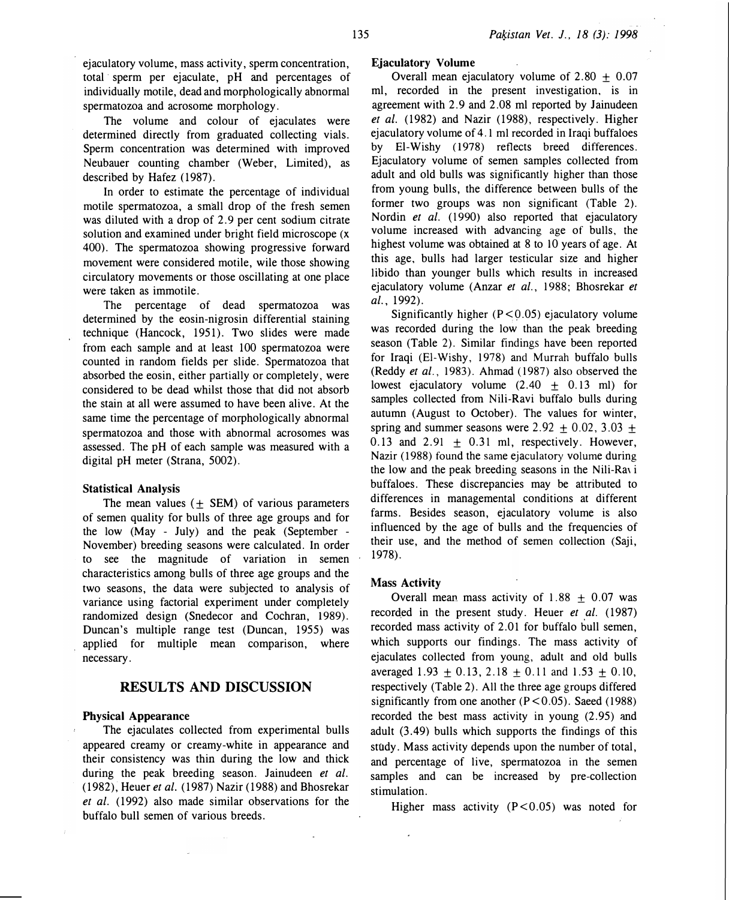ejaculatory volume, mass activity, sperm concentration, total sperm per ejaculate, pH and percentages of individually motile, dead and morphologically abnormal spermatozoa and acrosome morphology.

The volume and colour of ejaculates were determined directly from graduated collecting vials. Sperm concentration was determined with improved Neubauer counting chamber (Weber, Limited), as described by Hafez (1987).

In order to estimate the percentage of individual motile spermatozoa, a small drop of the fresh semen was diluted with a drop of 2.9 per cent sodium citrate solution and examined under bright field microscope (x 400). The spermatozoa showing progressive forward movement were considered motile, wile those showing circulatory movements or those oscillating at one place were taken as immotile.

The percentage of dead spermatozoa was determined by the eosin-nigrosin differential staining technique (Hancock, 1951). Two slides were made from each sample and at least 100 spermatozoa were counted in random fields per slide. Spermatozoa that absorbed the eosin, either partially or completely, were considered to be dead whilst those that did not absorb the stain at all were assumed to have been alive. At the same time the percentage of morphologically abnormal spermatozoa and those with abnormal acrosomes was assessed. The pH of each sample was measured with a digital pH meter (Strana, 5002).

#### Statistical Analysis

The mean values  $( \pm$  SEM) of various parameters of semen quality for bulls of three age groups and for the low (May - July) and the peak (September - November) breeding seasons were calculated. In order to see the magnitude of variation in semen characteristics among bulls of three age groups and the two seasons, the data were subjected to analysis of variance using factorial experiment under completely randomized design (Snedecor and Cochran, 1989). Duncan's multiple range test (Duncan, 1955) was applied for multiple mean comparison, where necessary.

# RESULTS AND DISCUSSION

#### Physical Appearance

The ejaculates collected from experimental bulls appeared creamy or creamy-white in appearance and their consistency was thin during the low and thick during the peak breeding season. Jainudeen et al. (1982), Heuer et al. (1987) Nazir (1988) and Bhosrekar et al. (1992) also made similar observations for the buffalo bull semen of various breeds.

# Ejaculatory Volume

Overall mean ejaculatory volume of  $2.80 + 0.07$ ml, recorded in the present investigation, is in agreement with 2.9 and 2.08 ml reported by Jainudeen et al. (1982) and Nazir (1988), respectively. Higher ejaculatory volume of 4.1 ml recorded in Iraqi buffaloes by El-Wishy (1978) reflects breed differences. Ejaculatory volume of semen samples collected from adult and old bulls was significantly higher than those from young bulls, the difference between bulls of the former two groups was non significant (Table 2). Nordin et al. (1990) also reported that ejaculatory volume increased with advancing age of bulls, the highest volume was obtained at 8 to 10 years of age. At this age, bulls had larger testicular size and higher libido than younger bulls which results in increased ejaculatory volume (Anzar et al., 1988; Bhosrekar et al., 1992).

Significantly higher  $(P < 0.05)$  ejaculatory volume was recorded during the low than the peak breeding season (Table 2). Similar findings have been reported for Iraqi (El-Wishy, 1978) and Murrah buffalo bulls (Reddy et al., 1983). Ahmad (1987) also observed the lowest ejaculatory volume  $(2.40 \pm 0.13 \text{ ml})$  for samples collected from Nili-Ravi buffalo bulls during autumn (August to October). The values for winter, spring and summer seasons were  $2.92 + 0.02$ ,  $3.03 +$  $0.13$  and  $2.91 + 0.31$  ml, respectively. However, Nazir (1988) found the same ejaculatory volume during the low and the peak breeding seasons in the Nili-Ravi buffaloes. These discrepancies may be attributed to differences in managemental conditions at different farms. Besides season, ejaculatory volume is also influenced by the age of bulls and the frequencies of their use, and the method of semen collection (Saji, 1978).

## Mass Activity

Overall mean mass activity of  $1.88 + 0.07$  was recorded in the present study. Heuer et al. (1987) recorded mass activity of 2.01 for buffalo bull semen, which supports our findings. The mass activity of ejaculates collected from young, adult and old bulls averaged 1.93  $\pm$  0.13, 2.18  $\pm$  0.11 and 1.53  $\pm$  0.10, respectively (Table 2). All the three age groups differed significantly from one another  $(P < 0.05)$ . Saeed (1988) recorded the best mass activity in young (2. 95) and adult (3 .49) bulls which supports the findings of this study. Mass activity depends upon the number of total, and percentage of live, spermatozoa in the semen samples and can be increased by pre-collection stimulation.

Higher mass activity  $(P < 0.05)$  was noted for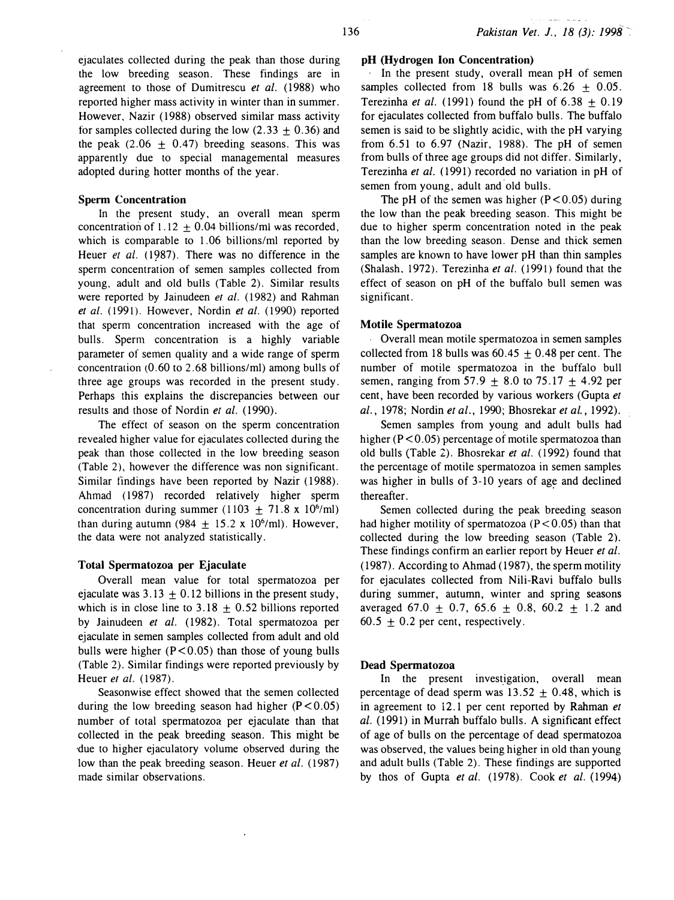ejaculates collected during the peak than those during the low breeding season. These findings are in agreement to those of Dumitrescu et al. (1988) who reported higher mass activity in winter than in summer. However, Nazir ( 1988) observed similar mass activity for samples collected during the low  $(2.33 \pm 0.36)$  and the peak  $(2.06 \pm 0.47)$  breeding seasons. This was apparently due to special managemental measures adopted during hotter months of the year.

## Sperm Concentration

In the present study, an overall mean sperm concentration of 1.12  $\pm$  0.04 billions/ml was recorded, which is comparable to 1.06 billions/ml reported by Heuer et al. (1987). There was no difference in the sperm concentration of semen samples collected from young, adult and old bulls (Table 2). Similar results were reported by Jainudeen et al. (1982) and Rahman et al. (1991). However, Nordin et al. (1990) reported that sperm concentration increased with the age of bulls. Sperm concentration is a highly variable parameter of semen quality and a wide range of sperm concentration (0.60 to 2.68 billions/ml) among bulls of three age groups was recorded in the present study. Perhaps this explains the discrepancies between our results and those of Nordin et al. (1990).

The effect of season on the sperm concentration revealed higher value for ejaculates collected during the peak than those collected in the low breeding season (Table 2), however the difference was non significant. Similar findings have been reported by Nazir (1988). Ahmad ( 1987) recorded relatively higher sperm concentration during summer ( $1103 \pm 71.8 \times 10^6$ /ml) than during autumn (984  $\pm$  15.2 x 10<sup>6</sup>/ml). However, the data were not analyzed statistically.

### Total Spermatozoa per Ejaculate

Overall mean value for total spermatozoa per ejaculate was  $3.13 \pm 0.12$  billions in the present study, which is in close line to  $3.18 \pm 0.52$  billions reported by Jainudeen et al. (1982). Total spermatozoa per ejaculate in semen samples collected from adult and old bulls were higher  $(P < 0.05)$  than those of young bulls (Table 2). Similar findings were reported previously by Heuer et al. (1987).

Seasonwise effect showed that the semen collected during the low breeding season had higher  $(P<0.05)$ number of total spermatozoa per ejaculate than that collected in the peak breeding season. This might be due to higher ejaculatory volume observed during the low than the peak breeding season. Heuer *et al.* (1987) made similar observations.

### pH (Hydrogen Ion Concentration)

· In the present study, overall mean pH of semen samples collected from 18 bulls was  $6.26 \pm 0.05$ . Terezinha et al. (1991) found the pH of  $6.38 \pm 0.19$ for ejaculates collected from buffalo bulls. The buffalo semen is said to be slightly acidic, with the pH varying from 6.51 to 6.97 (Nazir, 1988). The pH of semen from bulls of three age groups did not differ. Similarly, Terezinha et al. (1991) recorded no variation in pH of semen from young, adult and old bulls.

The pH of the semen was higher  $(P < 0.05)$  during the low than the peak breeding season. This might be due to higher sperm concentration noted in the peak than the low breeding season. Dense and thick semen samples are known to have lower pH than thin samples (Shalash, 1972). Terezinha et al.  $(1991)$  found that the effect of season on pH of the buffalo bull semen was significant.

### Motile Spermatozoa

. Overall mean motile spermatozoa in semen samples collected from 18 bulls was  $60.45 \pm 0.48$  per cent. The number of motile spermatozoa in the buffalo bull semen, ranging from 57.9  $\pm$  8.0 to 75.17  $\pm$  4.92 per cent, have been recorded by various workers (Gupta et al., 1978; Nordin et al., 1990; Bhosrekar et al., 1992).

Semen samples from young and adult bulls had higher ( $P < 0.05$ ) percentage of motile spermatozoa than old bulls (Table 2). Bhosrekar et al. (1992) found that the percentage of motile spermatozoa in semen samples was higher in bulls of 3-10 years of age and declined thereafter.

Semen collected during the peak breeding season had higher motility of spermatozoa ( $P < 0.05$ ) than that collected during the low breeding season (Table 2). These findings confirm an earlier report by Heuer et al. ( 1987). According to Ahmad ( 1987), the sperm motility for ejaculates collected from Nili-Ravi buffalo bulls during summer, autumn, winter and spring seasons averaged 67.0  $\pm$  0.7, 65.6  $\pm$  0.8, 60.2  $\pm$  1.2 and 60.5  $\pm$  0.2 per cent, respectively.

### Dead Spermatozoa

In the present investigation, overall mean percentage of dead sperm was  $13.52 \pm 0.48$ , which is in agreement to 12.1 per cent reported by Rahman et al. (1991) in Murrah buffalo bulls. A significant effect of age of bulls on the percentage of dead spermatozoa was observed, the values being higher in old than young and adult bulls (Table 2). These findings are supported by thos of Gupta et al. (1978). Cook et al. (1994)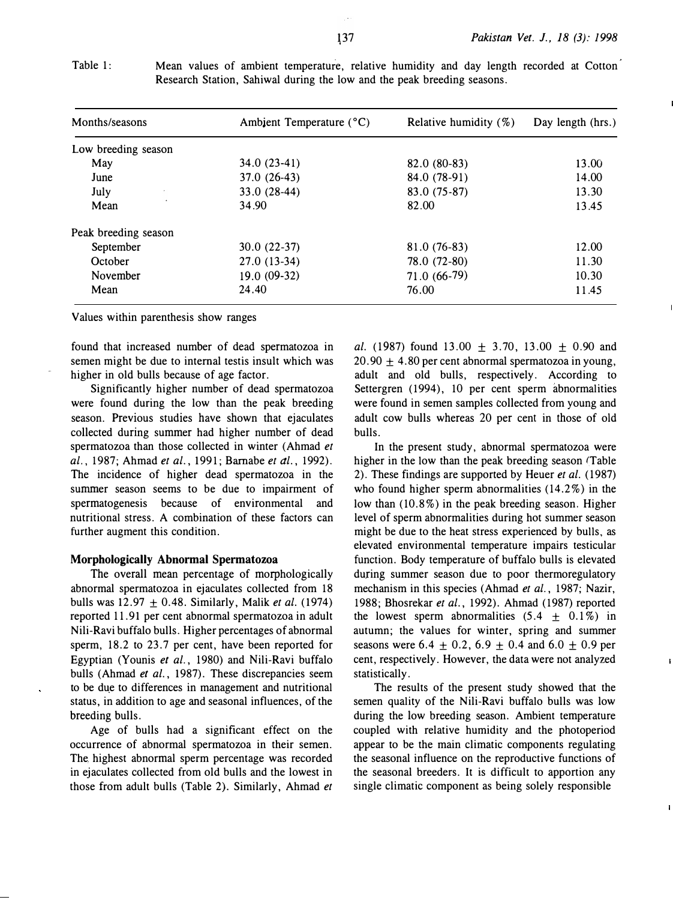| Months/seasons       | Ambient Temperature (°C) | Relative humidity $(\%)$ | Day length (hrs.) |
|----------------------|--------------------------|--------------------------|-------------------|
| Low breeding season  |                          |                          |                   |
| May                  | $34.0(23-41)$            | 82.0 (80-83)             | 13.00             |
| June                 | $37.0(26-43)$            | 84.0 (78-91)             | 14.00             |
| July                 | 33.0 (28-44)             | 83.0 (75-87)             | 13.30             |
| Mean                 | 34.90                    | 82.00                    | 13.45             |
| Peak breeding season |                          |                          |                   |
| September            | $30.0(22-37)$            | $81.0(76-83)$            | 12.00             |
| October              | $27.0(13-34)$            | 78.0 (72-80)             | 11.30             |
| November             | $19.0(09-32)$            | 71.0 (66-79)             | 10.30             |
| Mean                 | 24.40                    | 76.00                    | 11.45             |

Table 1: Mean values of ambient temperature, relative humidity and day length recorded at Cotton Research Station, Sahiwal during the low and the peak breeding seasons.

Values within parenthesis show ranges

found that increased number of dead spermatozoa in semen might be due to internal testis insult which was higher in old bulls because of age factor.

Significantly higher number of dead spermatozoa were found during the low than the peak breeding season. Previous studies have shown that ejaculates collected during summer had higher number of dead spermatozoa than those collected in winter (Ahmad et al., 1987; Ahmad et al., 1991; Barnabe et al., 1992). The incidence of higher dead spermatozoa in the summer season seems to be due to impairment of spermatogenesis because of environmental and nutritional stress. A combination of these factors can further augment this condition.

#### Morphologically Abnormal Spermatozoa

The overall mean percentage of morphologically abnormal spermatozoa in ejaculates collected from 18 bulls was  $12.97 \pm 0.48$ . Similarly, Malik *et al.* (1974) reported 11.91 per cent abnormal spermatozoa in adult Nili-Ravi buffalo bulls. Higher percentages of abnormal sperm, 18.2 to 23.7 per cent, have been reported for Egyptian (Younis et al., 1980) and Nili-Ravi buffalo bulls (Ahmad *et al.*, 1987). These discrepancies seem to be due to differences in management and nutritional status, in addition to age and seasonal influences, of the breeding bulls.

Age of bulls had a significant effect on the occurrence of abnormal spermatozoa in their semen. The highest abnormal sperm percentage was recorded in ejaculates collected from old bulls and the lowest in those from adult bulls (Table 2). Similarly, Ahmad et al. (1987) found 13.00  $\pm$  3.70, 13.00  $\pm$  0.90 and 20.90  $\pm$  4.80 per cent abnormal spermatozoa in young, adult and old bulls, respectively. According to Settergren (1994), 10 per cent sperm abnormalities were found in semen samples collected from young and adult cow bulls whereas 20 per cent in those of old bulls.

In the present study, abnormal spermatozoa were higher in the low than the peak breeding season (Table 2). These findings are supported by Heuer et al. (1987) who found higher sperm abnormalities  $(14.2\%)$  in the low than (10.8%) in the peak breeding season. Higher level of sperm abnormalities during hot summer season might be due to the heat stress experienced by bulls, as elevated environmental temperature impairs testicular function. Body temperature of buffalo bulls is elevated during summer season due to poor thermoregulatory mechanism in this species (Ahmad et al., 1987; Nazir, 1988; Bhosrekar et al., 1992). Ahmad (1987) reported the lowest sperm abnormalities  $(5.4 \pm 0.1\%)$  in autumn; the values for winter, spring and summer seasons were 6.4  $\pm$  0.2, 6.9  $\pm$  0.4 and 6.0  $\pm$  0.9 per cent, respectively. However, the data were not analyzed statistically.

The results of the present study showed that the semen quality of the Nili-Ravi buffalo bulls was low during the low breeding season. Ambient temperature coupled with relative humidity and the photoperiod appear to be the main climatic components regulating the seasonal influence on the reproductive functions of the seasonal breeders. It is difficult to apportion any single climatic component as being solely responsible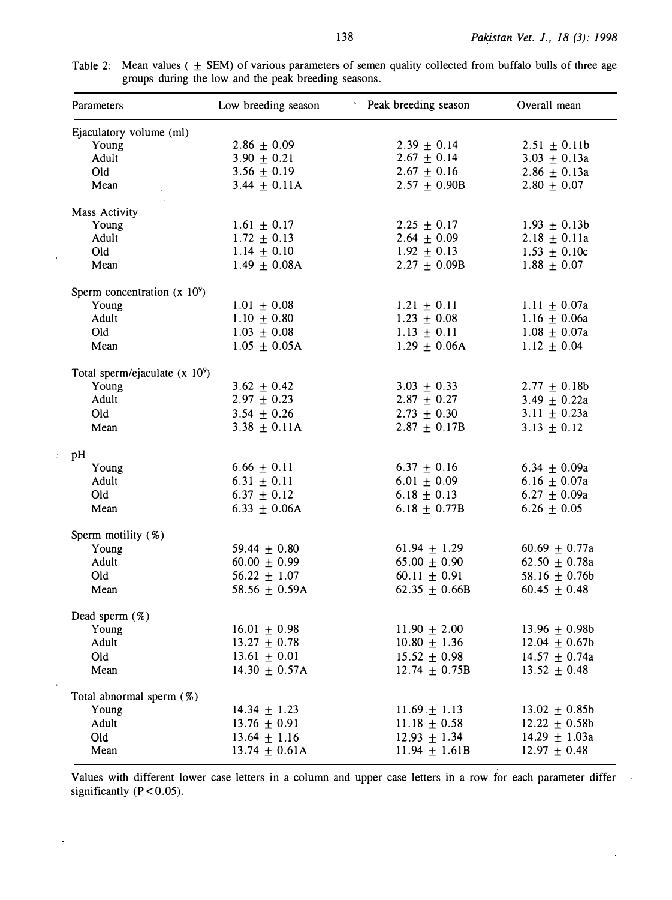$\ddot{\phantom{0}}$ 

| Parameters                       | Low breeding season | Peak breeding season | Overall mean      |
|----------------------------------|---------------------|----------------------|-------------------|
| Ejaculatory volume (ml)          |                     |                      |                   |
| Young                            | $2.86 \pm 0.09$     | $2.39 \pm 0.14$      | $2.51 \pm 0.11b$  |
| Adult                            | $3.90 \pm 0.21$     | $2.67 \pm 0.14$      | $3.03 \pm 0.13a$  |
| Old                              | $3.56 \pm 0.19$     | $2.67 \pm 0.16$      | $2.86 \pm 0.13a$  |
| Mean                             | $3.44 \pm 0.11A$    | $2.57 \pm 0.90B$     | $2.80 \pm 0.07$   |
| Mass Activity                    |                     |                      |                   |
| Young                            | $1.61 \pm 0.17$     | $2.25 \pm 0.17$      | $1.93 \pm 0.13b$  |
| Adult                            | $1.72 \pm 0.13$     | $2.64 \pm 0.09$      | $2.18 \pm 0.11a$  |
| Old                              | $1.14 \pm 0.10$     | $1.92 \pm 0.13$      | $1.53 \pm 0.10c$  |
| Mean                             | $1.49 \pm 0.08$ A   | $2.27 \pm 0.09B$     | $1.88 \pm 0.07$   |
| Sperm concentration $(x 10^9)$   |                     |                      |                   |
| Young                            | $1.01 \pm 0.08$     | $1.21 \pm 0.11$      | $1.11 \pm 0.07a$  |
| Adult                            | $1.10 \pm 0.80$     | $1.23 \pm 0.08$      | 1.16 $\pm$ 0.06a  |
| Old                              | $1.03 \pm 0.08$     | $1.13 \pm 0.11$      | $1.08 \pm 0.07a$  |
| Mean                             | $1.05 \pm 0.05A$    | $1.29 \pm 0.06$ A    | $1.12 \pm 0.04$   |
| Total sperm/ejaculate $(x 10^9)$ |                     |                      |                   |
| Young                            | $3.62 \pm 0.42$     | $3.03 \pm 0.33$      | $2.77 \pm 0.18b$  |
| Adult                            | $2.97 \pm 0.23$     | $2.87 \pm 0.27$      | 3.49 $\pm$ 0.22a  |
| Old                              | $3.54 \pm 0.26$     | $2.73 \pm 0.30$      | $3.11 \pm 0.23a$  |
| Mean                             | $3.38 \pm 0.11A$    | $2.87 \pm 0.17B$     | $3.13 \pm 0.12$   |
| pH                               |                     |                      |                   |
| Young                            | $6.66 \pm 0.11$     | $6.37 \pm 0.16$      | 6.34 $\pm$ 0.09a  |
| Adult                            | $6.31 \pm 0.11$     | $6.01 \pm 0.09$      | 6.16 $\pm$ 0.07a  |
| Old                              | $6.37 \pm 0.12$     | $6.18 \pm 0.13$      | $6.27 \pm 0.09a$  |
| Mean                             | $6.33 \pm 0.06$ A   | 6.18 $\pm$ 0.77B     | $6.26 \pm 0.05$   |
| Sperm motility (%)               |                     |                      |                   |
| Young                            | 59.44 $\pm$ 0.80    | $61.94 \pm 1.29$     | 60.69 $\pm$ 0.77a |
| Adult                            | $60.00 \pm 0.99$    | $65.00 \pm 0.90$     | 62.50 $\pm$ 0.78a |
| Old                              | 56.22 $\pm$ 1.07    | $60.11 \pm 0.91$     | 58.16 $\pm$ 0.76b |
| Mean                             | 58.56 $\pm$ 0.59A   | 62.35 $\pm$ 0.66B    | $60.45 \pm 0.48$  |
| Dead sperm $(\%)$                |                     |                      |                   |
| Young                            | $16.01 \pm 0.98$    | $11.90 \pm 2.00$     | $13.96 \pm 0.98b$ |
| Adult                            | $13.27 \pm 0.78$    | $10.80 \pm 1.36$     | $12.04 \pm 0.67$  |
| Old                              | $13.61 \pm 0.01$    | $15.52 \pm 0.98$     | $14.57 + 0.74a$   |
| Mean                             | 14.30 $\pm$ 0.57A   | 12.74 $\pm$ 0.75B    | $13.52 \pm 0.48$  |
| Total abnormal sperm $(\%)$      |                     |                      |                   |
| Young                            | $14.34 \pm 1.23$    | $11.69 \pm 1.13$     | $13.02 \pm 0.85b$ |
| Adult                            | 13.76 $\pm$ 0.91    | 11.18 $\pm$ 0.58     | $12.22 \pm 0.58b$ |
| Old                              | $13.64 \pm 1.16$    | $12.93 \pm 1.34$     | $14.29 \pm 1.03a$ |
| Mean                             | $13.74 \pm 0.61$ A  | $11.94 \pm 1.61B$    | $12.97 \pm 0.48$  |
|                                  |                     |                      |                   |

 $\hat{\boldsymbol{\beta}}$ 

 $\frac{1}{2}$ 

l,

Table 2: Mean values (  $\pm$  SEM) of various parameters of semen quality collected from buffalo bulls of three age groups during the low and the peak breeding seasons.

Values with different lower case letters in a column and upper case letters ih a row for each parameter differ significantly  $(P<0.05)$ .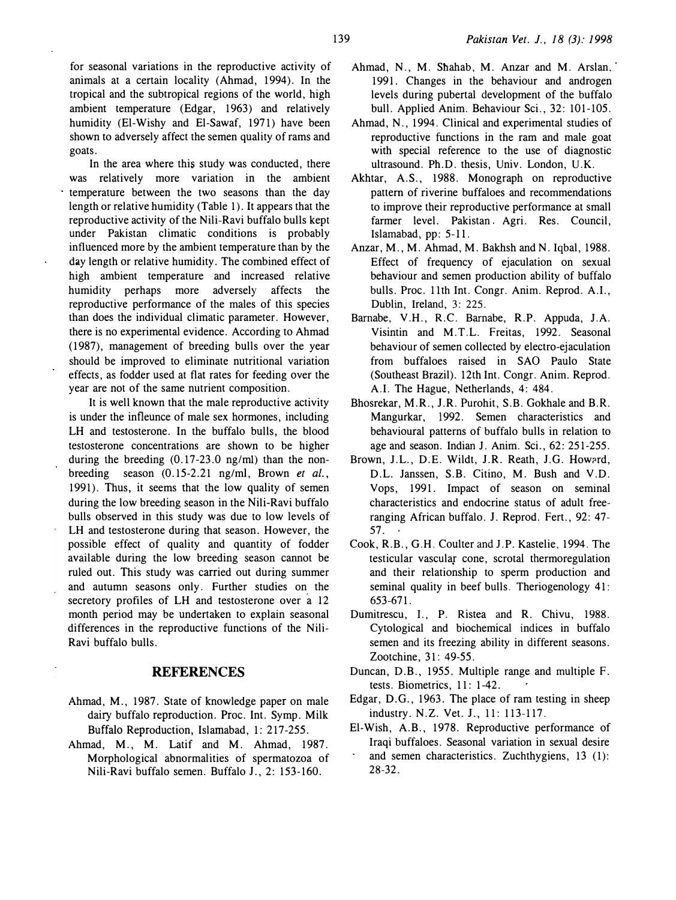for seasonal variations in the reproductive activity of animals at a certain locality (Ahmad, 1994). In the tropical and the subtropical regions of the world, high ambient temperature (Edgar, 1963) and relatively humidity (El-Wishy and El-Sawaf, 1971) have been shown to adversely affect the semen quality of rams and goats.

In the area where this study was conducted, there was relatively more variation in the ambient temperature between the two seasons than the day length or relative humidity (Table 1). It appears that the reproductive activity of the Nili-Ravi buffalo bulls kept under Pakistan climatic conditions is probably influenced more by the ambient temperature than by the day length or relative humidity. The combined effect of high ambient temperature and increased relative humidity perhaps more adversely affects the reproductive performance of the males of this species than does the individual climatic parameter. However, there is no experimental evidence. According to Ahmad ( 1987), management of breeding bulls over the year should be improved to eliminate nutritional variation effects, as fodder used at flat rates for feeding over the year are not of the same nutrient composition.

It is well known that the male reproductive activity is under the infleunce of male sex hormones, including LH and testosterone. In the buffalo bulls, the blood testosterone concentrations are shown to be higher during the breeding (0.17-23.0 ng/m1) than the nonbreeding season (0.15-2.21 ng/ml, Brown et al., 1991). Thus, it seems that the low quality of semen during the low breeding season in the Nili-Ravi buffalo bulls observed in this study was due to low levels of LH and testosterone during that season. However, the possible effect of quality and quantity of fodder available during the low breeding season cannot be ruled out. This study was carried out during summer and autumn seasons only. Further studies on the secretory profiles of LH and testosterone over a 12 month period may be undertaken to explain seasonal differences in the reproductive functions of the Nili-Ravi buffalo bulls.

# **REFERENCES**

- Ahmad, M., 1987. State of knowledge paper on male dairy buffalo reproduction. Proc. Int. Symp. Milk Buffalo Reproduction, Islamabad, 1: 217-255.
- Ahmad, M., M. Latif and M. Ahmad, 1987. Morphological abnormalities of spermatozoa of Nili-Ravi buffalo semen. Buffalo J., 2: 153-160.
- Ahmad, N., M. Shahab, M. Anzar and M. Arslan,. 1991. Changes in the behaviour and androgen levels during pubertal development of the buffalo bull. Applied Anim. Behaviour Sci., 32: 101-105.
- Ahmad, N., 1994. Clinical and experimental studies of reproductive functions in the ram and male goat with special reference to the use of diagnostic ultrasound. Ph.D. thesis, Univ. London, U.K.
- Akhtar, A.S., 1988. Monograph on reproductive pattern of riverine buffaloes and recommendations to improve their reproductive performance at small farmer level. Pakistan Agri. Res. Council, Islamabad, pp: 5-11.
- Anzar, M., M. Ahmad, M. Bakhsh and N. Iqbal, 1988. Effect of frequency of ejaculation on sexual behaviour and semen production ability of buffalo bulls. Proc. 11th Int. Congr. Anim. Reprod. A.I., Dublin, Ireland, 3: 225.
- Bamabe, V.H., R.C. Bamabe, R.P. Appuda, J.A. Visintin and M.T.L. Freitas, 1992. Seasonal behaviour of semen collected by electro-ejaculation from buffaloes raised in SAO Paulo State (Southeast Brazil). 12th Int. Congr. Anim. Reprod. A.I. The Hague, Netherlands, 4: 484.
- Bhosrekar, M.R., J.R. Purohit, S.B. Gokhale and B.R. Mangurkar, 1992. Semen characteristics and behavioural patterns of buffalo bulls in relation to age and season. Indian J. Anim. Sci., 62: 251-255.
- Brown, J.L., D.E. Wildt, J.R. Reath, J.G. Howard, D.L. Janssen, S.B. Citino, M. Bush and V.D. Vops, 1991. Impact of season on seminal characteristics and endocrine status of adult freeranging African buffalo. J. Reprod. Fert., 92: 47- $57.$
- Cook, R.B., G.H. Coulter and J.P. Kastelie, 1994. The testicular vascular cone, scrotal thermoregulation and their relationship to sperm production and seminal quality in beef bulls. Theriogenology 41: 653-671.
- Dumitrescu, 1., P. Ristea and R. Chivu, 1988. Cytological and biochemical indices in buffalo semen and its freezing ability in different seasons. Zootchine, 31: 49-55.
- Duncan, D.B., 1955. Multiple range and multiple F. tests. Biometrics, 11: 1-42.
- Edgar, D.G., 1963. The place of ram testing in sheep industry. N.Z. Vet. J., 11: 113-117.
- El-Wish, A.B., 1978. Reproductive performance of Iraqi buffaloes. Seasonal variation in sexual desire and semen characteristics. Zuchthygiens, 13 (1): 28-32.